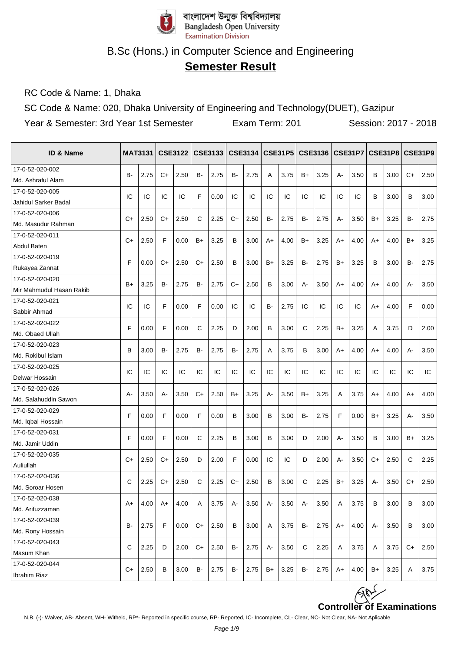

## **Semester Result**

RC Code & Name: 1, Dhaka

SC Code & Name: 020, Dhaka University of Engineering and Technology(DUET), Gazipur

Year & Semester: 3rd Year 1st Semester Exam Term: 201 Session: 2017 - 2018

| <b>ID &amp; Name</b>     |           | <b>MAT3131</b> |      | <b>CSE3122</b> |      |      |      |      |           |      |           |      |       |      |      | CSE3133   CSE3134   CSE31P5   CSE3136   CSE31P7   CSE31P8   CSE31P9 |           |      |
|--------------------------|-----------|----------------|------|----------------|------|------|------|------|-----------|------|-----------|------|-------|------|------|---------------------------------------------------------------------|-----------|------|
| 17-0-52-020-002          | <b>B-</b> | 2.75           | C+   | 2.50           | B-   | 2.75 | B-   | 2.75 | A         | 3.75 | B+        | 3.25 | $A -$ | 3.50 | В    | 3.00                                                                | $C+$      | 2.50 |
| Md. Ashraful Alam        |           |                |      |                |      |      |      |      |           |      |           |      |       |      |      |                                                                     |           |      |
| 17-0-52-020-005          | IC        | IC             | IC   | IC             | F    | 0.00 | IC   | IC   | IC        | IC   | IC        | IC   | IC    | IC   | В    | 3.00                                                                | B         | 3.00 |
| Jahidul Sarker Badal     |           |                |      |                |      |      |      |      |           |      |           |      |       |      |      |                                                                     |           |      |
| 17-0-52-020-006          | C+        | 2.50           | C+   | 2.50           | C    | 2.25 | C+   | 2.50 | B-        | 2.75 | B-        | 2.75 |       | 3.50 | B+   | 3.25                                                                | B-        | 2.75 |
| Md. Masudur Rahman       |           |                |      |                |      |      |      |      |           |      |           |      | А-    |      |      |                                                                     |           |      |
| 17-0-52-020-011          | C+        | 2.50           | F    | 0.00           | B+   | 3.25 | B    | 3.00 | $A+$      | 4.00 | $B+$      | 3.25 | $A+$  | 4.00 | A+   | 4.00                                                                | $B+$      | 3.25 |
| Abdul Baten              |           |                |      |                |      |      |      |      |           |      |           |      |       |      |      |                                                                     |           |      |
| 17-0-52-020-019          | F         | 0.00           | C+   | 2.50           | C+   | 2.50 | B    | 3.00 | $B+$      | 3.25 | <b>B-</b> | 2.75 | $B+$  | 3.25 | B    | 3.00                                                                | <b>B-</b> | 2.75 |
| Rukayea Zannat           |           |                |      |                |      |      |      |      |           |      |           |      |       |      |      |                                                                     |           |      |
| 17-0-52-020-020          | B+        | 3.25           | в-   | 2.75           | B-   | 2.75 | C+   | 2.50 | в         | 3.00 | A-        | 3.50 | A+    | 4.00 | A+   | 4.00                                                                | А-        | 3.50 |
| Mir Mahmudul Hasan Rakib |           |                |      |                |      |      |      |      |           |      |           |      |       |      |      |                                                                     |           |      |
| 17-0-52-020-021          | IC        | IC             | F    | 0.00           | F    | 0.00 | IC   | IC   | <b>B-</b> | 2.75 | IC        | IC   | IC    | IC   | $A+$ | 4.00                                                                | F         | 0.00 |
| Sabbir Ahmad             |           |                |      |                |      |      |      |      |           |      |           |      |       |      |      |                                                                     |           |      |
| 17-0-52-020-022          | F         | 0.00           | F    | 0.00           | C    | 2.25 | D    | 2.00 | в         | 3.00 | C         | 2.25 | B+    | 3.25 | A    | 3.75                                                                | D         | 2.00 |
| Md. Obaed Ullah          |           |                |      |                |      |      |      |      |           |      |           |      |       |      |      |                                                                     |           |      |
| 17-0-52-020-023          | B         | 3.00           | B-   | 2.75           | B-   | 2.75 | B-   | 2.75 | A         | 3.75 | в         | 3.00 | $A+$  | 4.00 | $A+$ | 4.00                                                                | $A -$     | 3.50 |
| Md. Rokibul Islam        |           |                |      |                |      |      |      |      |           |      |           |      |       |      |      |                                                                     |           |      |
| 17-0-52-020-025          | IC        | IC             | IC   | IC             | IC   | IC   | IC   | IC   | IC        | IC   | IC        | IC   | IC    | IC   | IC   | IC                                                                  | IC        | IC   |
| Delwar Hossain           |           |                |      |                |      |      |      |      |           |      |           |      |       |      |      |                                                                     |           |      |
| 17-0-52-020-026          | $A -$     | 3.50           | А-   | 3.50           | C+   | 2.50 | $B+$ | 3.25 | $A -$     | 3.50 | B+        | 3.25 | A     | 3.75 | A+   | 4.00                                                                | A+        | 4.00 |
| Md. Salahuddin Sawon     |           |                |      |                |      |      |      |      |           |      |           |      |       |      |      |                                                                     |           |      |
| 17-0-52-020-029          | F         | 0.00           | F    | 0.00           | F    | 0.00 | B    | 3.00 | в         | 3.00 | B-        | 2.75 | F     | 0.00 | B+   | 3.25                                                                | А-        | 3.50 |
| Md. Iqbal Hossain        |           |                |      |                |      |      |      |      |           |      |           |      |       |      |      |                                                                     |           |      |
| 17-0-52-020-031          | F         | 0.00           | F    | 0.00           | C    | 2.25 | B    | 3.00 | в         | 3.00 | D         | 2.00 | А-    | 3.50 | В    | 3.00                                                                | B+        | 3.25 |
| Md. Jamir Uddin          |           |                |      |                |      |      |      |      |           |      |           |      |       |      |      |                                                                     |           |      |
| 17-0-52-020-035          | $C+$      | 2.50           | C+   | 2.50           | D    | 2.00 | F    | 0.00 | IC        | IC   | D         | 2.00 | A-    | 3.50 | $C+$ | 2.50                                                                | C         | 2.25 |
| Auliullah                |           |                |      |                |      |      |      |      |           |      |           |      |       |      |      |                                                                     |           |      |
| 17-0-52-020-036          | C         | 2.25           | C+   | 2.50           | C    | 2.25 | $C+$ | 2.50 | B         | 3.00 | C         | 2.25 | $B+$  | 3.25 | А-   | 3.50                                                                | $C+$      | 2.50 |
| Md. Soroar Hosen         |           |                |      |                |      |      |      |      |           |      |           |      |       |      |      |                                                                     |           |      |
| 17-0-52-020-038          | A+        | 4.00           | $A+$ | 4.00           | Α    | 3.75 | А-   | 3.50 | А-        | 3.50 | А-        | 3.50 | Α     | 3.75 | B    | 3.00                                                                | B         | 3.00 |
| Md. Arifuzzaman          |           |                |      |                |      |      |      |      |           |      |           |      |       |      |      |                                                                     |           |      |
| 17-0-52-020-039          | <b>B-</b> | 2.75           | F    | 0.00           | $C+$ | 2.50 | B    | 3.00 | Α         | 3.75 | B-        | 2.75 | A+    | 4.00 | A-   | 3.50                                                                | В         | 3.00 |
| Md. Rony Hossain         |           |                |      |                |      |      |      |      |           |      |           |      |       |      |      |                                                                     |           |      |
| 17-0-52-020-043          | C         | 2.25           | D    | 2.00           | C+   | 2.50 | B-   | 2.75 | А-        | 3.50 | C         | 2.25 | Α     | 3.75 | Α    | 3.75                                                                | $C+$      | 2.50 |
| Masum Khan               |           |                |      |                |      |      |      |      |           |      |           |      |       |      |      |                                                                     |           |      |
| 17-0-52-020-044          | $C+$      | 2.50           | В    | 3.00           | B-   | 2.75 | B-   | 2.75 | B+        | 3.25 | B-        | 2.75 | A+    | 4.00 | B+   | 3.25                                                                | Α         | 3.75 |
| Ibrahim Riaz             |           |                |      |                |      |      |      |      |           |      |           |      |       |      |      |                                                                     |           |      |

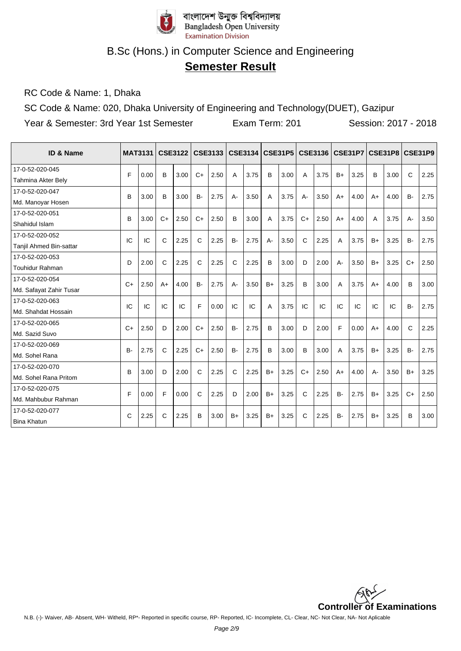

## **Semester Result**

RC Code & Name: 1, Dhaka

SC Code & Name: 020, Dhaka University of Engineering and Technology(DUET), Gazipur

Year & Semester: 3rd Year 1st Semester Exam Term: 201 Session: 2017 - 2018

| <b>ID &amp; Name</b>    | <b>MAT3131</b> |      |      | <b>CSE3122</b> |           | <b>CSE3133</b> |           | <b>CSE3134</b> |       | <b>CSE31P5</b> |      | <b>CSE3136</b> |       | <b>CSE31P7</b> |              | <b>CSE31P8</b> |              | <b>CSE31P9</b> |
|-------------------------|----------------|------|------|----------------|-----------|----------------|-----------|----------------|-------|----------------|------|----------------|-------|----------------|--------------|----------------|--------------|----------------|
| 17-0-52-020-045         | F              | 0.00 | B    | 3.00           | $C+$      | 2.50           | A         | 3.75           | B     | 3.00           | A    | 3.75           | $B+$  | 3.25           | B            | 3.00           | $\mathsf{C}$ | 2.25           |
| Tahmina Akter Bely      |                |      |      |                |           |                |           |                |       |                |      |                |       |                |              |                |              |                |
| 17-0-52-020-047         | B              | 3.00 | B    | 3.00           | <b>B-</b> | 2.75           | A-        | 3.50           | A     | 3.75           | А-   | 3.50           | $A+$  | 4.00           | $A+$         | 4.00           | <b>B-</b>    | 2.75           |
| Md. Manoyar Hosen       |                |      |      |                |           |                |           |                |       |                |      |                |       |                |              |                |              |                |
| 17-0-52-020-051         | B              | 3.00 | $C+$ | 2.50           | $C+$      | 2.50           | B         | 3.00           | A     | 3.75           | $C+$ | 2.50           | $A+$  | 4.00           | $\mathsf{A}$ | 3.75           | $A-$         | 3.50           |
| Shahidul Islam          |                |      |      |                |           |                |           |                |       |                |      |                |       |                |              |                |              |                |
| 17-0-52-020-052         | IC             | IC   | C    | 2.25           | C         | 2.25           | <b>B-</b> | 2.75           | $A -$ | 3.50           | C    | 2.25           | A     | 3.75           | $B+$         | 3.25           | <b>B-</b>    | 2.75           |
| Tanjil Ahmed Bin-sattar |                |      |      |                |           |                |           |                |       |                |      |                |       |                |              |                |              |                |
| 17-0-52-020-053         | D              | 2.00 | C    | 2.25           | C         | 2.25           | C         | 2.25           | B     | 3.00           | D    | 2.00           | $A -$ | 3.50           | $B+$         | 3.25           | $C+$         | 2.50           |
| <b>Touhidur Rahman</b>  |                |      |      |                |           |                |           |                |       |                |      |                |       |                |              |                |              |                |
| 17-0-52-020-054         | $C+$           | 2.50 | $A+$ | 4.00           | <b>B-</b> | 2.75           | $A -$     | 3.50           | $B+$  | 3.25           | B    | 3.00           | A     | 3.75           | $A+$         | 4.00           | B            | 3.00           |
| Md. Safayat Zahir Tusar |                |      |      |                |           |                |           |                |       |                |      |                |       |                |              |                |              |                |
| 17-0-52-020-063         | IC             | IC   | IC   | IC             | F         | 0.00           | IC        | IC             | A     | 3.75           | IC   | IC             | IC    | IC             | IC           | IC             | <b>B-</b>    | 2.75           |
| Md. Shahdat Hossain     |                |      |      |                |           |                |           |                |       |                |      |                |       |                |              |                |              |                |
| 17-0-52-020-065         | $C+$           | 2.50 | D    | 2.00           | $C+$      | 2.50           | <b>B-</b> | 2.75           | B     | 3.00           | D    | 2.00           | F     | 0.00           | $A+$         | 4.00           | $\mathsf{C}$ | 2.25           |
| Md. Sazid Suvo          |                |      |      |                |           |                |           |                |       |                |      |                |       |                |              |                |              |                |
| 17-0-52-020-069         | <b>B-</b>      | 2.75 | C    | 2.25           | $C+$      | 2.50           | <b>B-</b> | 2.75           | B     | 3.00           | B    | 3.00           | A     | 3.75           | $B+$         | 3.25           | <b>B-</b>    | 2.75           |
| Md. Sohel Rana          |                |      |      |                |           |                |           |                |       |                |      |                |       |                |              |                |              |                |
| 17-0-52-020-070         | B              | 3.00 | D    | 2.00           | C         | 2.25           | C         | 2.25           | $B+$  | 3.25           | $C+$ | 2.50           | $A+$  | 4.00           | $A -$        | 3.50           | $B+$         | 3.25           |
| Md. Sohel Rana Pritom   |                |      |      |                |           |                |           |                |       |                |      |                |       |                |              |                |              |                |
| 17-0-52-020-075         | F              | 0.00 | F    | 0.00           | C         | 2.25           | D         | 2.00           | $B+$  | 3.25           | C    | 2.25           | $B -$ | 2.75           | $B+$         | 3.25           | $C+$         | 2.50           |
| Md. Mahbubur Rahman     |                |      |      |                |           |                |           |                |       |                |      |                |       |                |              |                |              |                |
| 17-0-52-020-077         | C              | 2.25 | C    | 2.25           | B         | 3.00           | $B+$      | 3.25           | $B+$  | 3.25           | C    | 2.25           | $B -$ | 2.75           | $B+$         | 3.25           | B            | 3.00           |
| <b>Bina Khatun</b>      |                |      |      |                |           |                |           |                |       |                |      |                |       |                |              |                |              |                |

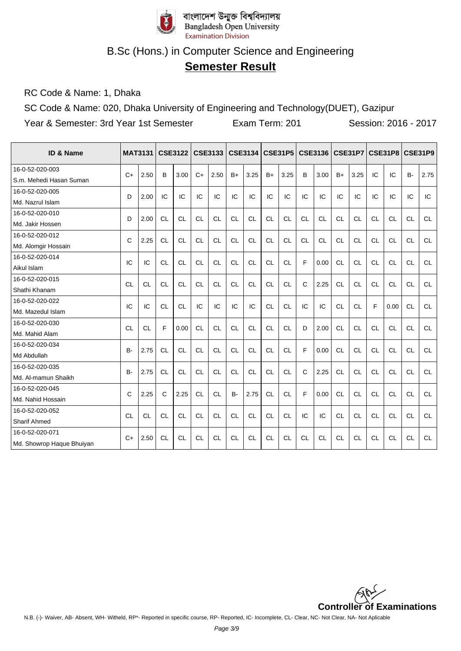

## **Semester Result**

RC Code & Name: 1, Dhaka

SC Code & Name: 020, Dhaka University of Engineering and Technology(DUET), Gazipur

Year & Semester: 3rd Year 1st Semester Exam Term: 201 Session: 2016 - 2017

| <b>ID &amp; Name</b>                         |           | <b>MAT3131</b> |           | <b>CSE3122</b> |           | <b>CSE3133</b> |           | <b>CSE3134</b> |           | <b>CSE31P5</b> |           | CSE3136   CSE31P7 |           |           |           | CSE31P8 CSE31P9 |           |           |
|----------------------------------------------|-----------|----------------|-----------|----------------|-----------|----------------|-----------|----------------|-----------|----------------|-----------|-------------------|-----------|-----------|-----------|-----------------|-----------|-----------|
| 16-0-52-020-003<br>S.m. Mehedi Hasan Suman   | $C+$      | 2.50           | B         | 3.00           | $C+$      | 2.50           | $B+$      | 3.25           | $B+$      | 3.25           | B         | 3.00              | $B+$      | 3.25      | IC        | IC              | <b>B-</b> | 2.75      |
| 16-0-52-020-005<br>Md. Nazrul Islam          | D         | 2.00           | IC        | IC             | IC        | IC             | IC        | IC             | IC        | IC             | IC        | IC                | IC        | IC        | IC        | IC              | IC        | IC        |
| 16-0-52-020-010<br>Md. Jakir Hossen          | D         | 2.00           | <b>CL</b> | <b>CL</b>      | <b>CL</b> | <b>CL</b>      | <b>CL</b> | <b>CL</b>      | <b>CL</b> | <b>CL</b>      | <b>CL</b> | <b>CL</b>         | <b>CL</b> | <b>CL</b> | <b>CL</b> | <b>CL</b>       | <b>CL</b> | <b>CL</b> |
| 16-0-52-020-012<br>Md. Alomgir Hossain       | C         | 2.25           | <b>CL</b> | <b>CL</b>      | <b>CL</b> | <b>CL</b>      | <b>CL</b> | <b>CL</b>      | <b>CL</b> | <b>CL</b>      | <b>CL</b> | <b>CL</b>         | <b>CL</b> | <b>CL</b> | <b>CL</b> | <b>CL</b>       | <b>CL</b> | <b>CL</b> |
| 16-0-52-020-014<br>Aikul Islam               | IC        | IC             | <b>CL</b> | CL             | <b>CL</b> | <b>CL</b>      | <b>CL</b> | <b>CL</b>      | <b>CL</b> | <b>CL</b>      | F         | 0.00              | <b>CL</b> | <b>CL</b> | <b>CL</b> | <b>CL</b>       | <b>CL</b> | <b>CL</b> |
| 16-0-52-020-015<br>Shathi Khanam             | <b>CL</b> | <b>CL</b>      | <b>CL</b> | <b>CL</b>      | <b>CL</b> | <b>CL</b>      | <b>CL</b> | <b>CL</b>      | <b>CL</b> | <b>CL</b>      | C         | 2.25              | <b>CL</b> | <b>CL</b> | <b>CL</b> | <b>CL</b>       | <b>CL</b> | <b>CL</b> |
| 16-0-52-020-022<br>Md. Mazedul Islam         | IC        | IC             | <b>CL</b> | <b>CL</b>      | IC        | IC             | IC        | IC             | <b>CL</b> | <b>CL</b>      | IC        | IC                | <b>CL</b> | <b>CL</b> | F         | 0.00            | <b>CL</b> | <b>CL</b> |
| 16-0-52-020-030<br>Md. Mahid Alam            | <b>CL</b> | <b>CL</b>      | F         | 0.00           | <b>CL</b> | <b>CL</b>      | <b>CL</b> | <b>CL</b>      | <b>CL</b> | <b>CL</b>      | D         | 2.00              | <b>CL</b> | <b>CL</b> | <b>CL</b> | <b>CL</b>       | <b>CL</b> | <b>CL</b> |
| 16-0-52-020-034<br>Md Abdullah               | $B -$     | 2.75           | <b>CL</b> | <b>CL</b>      | <b>CL</b> | <b>CL</b>      | <b>CL</b> | <b>CL</b>      | <b>CL</b> | <b>CL</b>      | F         | 0.00              | <b>CL</b> | <b>CL</b> | <b>CL</b> | <b>CL</b>       | <b>CL</b> | <b>CL</b> |
| 16-0-52-020-035<br>Md. Al-mamun Shaikh       | <b>B-</b> | 2.75           | <b>CL</b> | <b>CL</b>      | <b>CL</b> | <b>CL</b>      | <b>CL</b> | <b>CL</b>      | <b>CL</b> | <b>CL</b>      | C         | 2.25              | <b>CL</b> | <b>CL</b> | <b>CL</b> | <b>CL</b>       | <b>CL</b> | <b>CL</b> |
| 16-0-52-020-045<br>Md. Nahid Hossain         | C         | 2.25           | C         | 2.25           | <b>CL</b> | <b>CL</b>      | <b>B-</b> | 2.75           | <b>CL</b> | <b>CL</b>      | E         | 0.00              | <b>CL</b> | <b>CL</b> | <b>CL</b> | <b>CL</b>       | <b>CL</b> | <b>CL</b> |
| 16-0-52-020-052<br><b>Sharif Ahmed</b>       | <b>CL</b> | <b>CL</b>      | <b>CL</b> | <b>CL</b>      | <b>CL</b> | <b>CL</b>      | <b>CL</b> | <b>CL</b>      | <b>CL</b> | <b>CL</b>      | IC        | IC                | <b>CL</b> | <b>CL</b> | <b>CL</b> | <b>CL</b>       | <b>CL</b> | <b>CL</b> |
| 16-0-52-020-071<br>Md. Showrop Haque Bhuiyan | $C+$      | 2.50           | <b>CL</b> | <b>CL</b>      | <b>CL</b> | <b>CL</b>      | <b>CL</b> | <b>CL</b>      | <b>CL</b> | <b>CL</b>      | CL        | <b>CL</b>         | <b>CL</b> | <b>CL</b> | <b>CL</b> | <b>CL</b>       | <b>CL</b> | <b>CL</b> |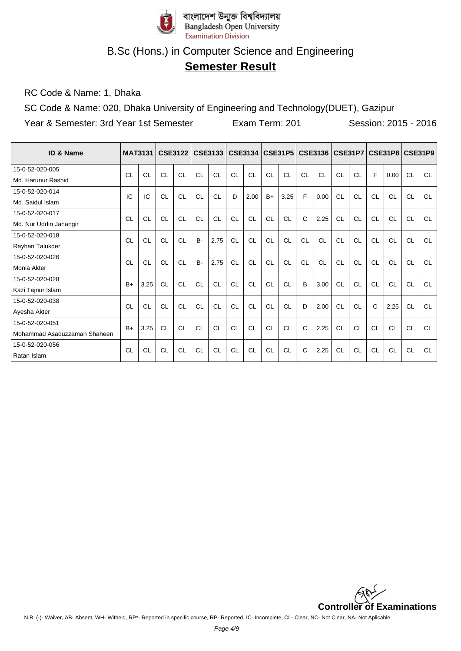

## **Semester Result**

RC Code & Name: 1, Dhaka

SC Code & Name: 020, Dhaka University of Engineering and Technology(DUET), Gazipur

Year & Semester: 3rd Year 1st Semester Exam Term: 201 Session: 2015 - 2016

| <b>ID &amp; Name</b>         |           | <b>MAT3131</b> |           | <b>CSE3122</b> |           | <b>CSE3133</b> |           |           |           | CSE3134   CSE31P5 |    | <b>CSE3136</b> |           |           |           | CSE31P7   CSE31P8   CSE31P9 |           |           |
|------------------------------|-----------|----------------|-----------|----------------|-----------|----------------|-----------|-----------|-----------|-------------------|----|----------------|-----------|-----------|-----------|-----------------------------|-----------|-----------|
| 15-0-52-020-005              | CL        | <b>CL</b>      | CL        | CL             | CL        | CL             | CL        | CL        | CL        | CL                | CL | CL             | CL        | CL        | F         | 0.00                        | <b>CL</b> | <b>CL</b> |
| Md. Harunur Rashid           |           |                |           |                |           |                |           |           |           |                   |    |                |           |           |           |                             |           |           |
| 15-0-52-020-014              | IC        | IC             | CL        | CL             | CL        | CL             | D         | 2.00      | $B+$      | 3.25              | F  | 0.00           | CL        | CL        | CL        | CL                          | CL        | <b>CL</b> |
| Md. Saidul Islam             |           |                |           |                |           |                |           |           |           |                   |    |                |           |           |           |                             |           |           |
| 15-0-52-020-017              | CL        | CL             | <b>CL</b> | CL             | CL        | <b>CL</b>      | CL        | <b>CL</b> | <b>CL</b> | <b>CL</b>         | C  | 2.25           | <b>CL</b> | CL        | <b>CL</b> | <b>CL</b>                   | <b>CL</b> | <b>CL</b> |
| Md. Nur Uddin Jahangir       |           |                |           |                |           |                |           |           |           |                   |    |                |           |           |           |                             |           |           |
| 15-0-52-020-018              | CL        | <b>CL</b>      | <b>CL</b> | CL             | <b>B-</b> | 2.75           | <b>CL</b> | <b>CL</b> | <b>CL</b> | CL                | CL | CL             | CL        | CL        | <b>CL</b> | <b>CL</b>                   | <b>CL</b> | <b>CL</b> |
| Rayhan Talukder              |           |                |           |                |           |                |           |           |           |                   |    |                |           |           |           |                             |           |           |
| 15-0-52-020-026              | CL        | <b>CL</b>      | <b>CL</b> | CL             | <b>B-</b> | 2.75           | CL        | CL        | <b>CL</b> | CL                | CL | CL             | CL        | CL        | CL        | <b>CL</b>                   | <b>CL</b> | <b>CL</b> |
| Monia Akter                  |           |                |           |                |           |                |           |           |           |                   |    |                |           |           |           |                             |           |           |
| 15-0-52-020-028              | $B+$      | 3.25           | <b>CL</b> | <b>CL</b>      | CL        | <b>CL</b>      | <b>CL</b> | <b>CL</b> | <b>CL</b> | CL                | B  | 3.00           | <b>CL</b> | <b>CL</b> | <b>CL</b> | <b>CL</b>                   | <b>CL</b> | <b>CL</b> |
| Kazi Tajnur Islam            |           |                |           |                |           |                |           |           |           |                   |    |                |           |           |           |                             |           |           |
| 15-0-52-020-038              | CL        | CL             | CL        | CL             | CL        | <b>CL</b>      | CL        | <b>CL</b> | <b>CL</b> | <b>CL</b>         | D  | 2.00           | <b>CL</b> | <b>CL</b> | C         | 2.25                        | <b>CL</b> | <b>CL</b> |
| Ayesha Akter                 |           |                |           |                |           |                |           |           |           |                   |    |                |           |           |           |                             |           |           |
| 15-0-52-020-051              | $B+$      | 3.25           | <b>CL</b> | <b>CL</b>      | CL        | <b>CL</b>      | <b>CL</b> | CL        | <b>CL</b> | CL                | C  | 2.25           | CL        | CL        | <b>CL</b> | <b>CL</b>                   | <b>CL</b> | <b>CL</b> |
| Mohammad Asaduzzaman Shaheen |           |                |           |                |           |                |           |           |           |                   |    |                |           |           |           |                             |           |           |
| 15-0-52-020-056              | <b>CL</b> | <b>CL</b>      | <b>CL</b> | <b>CL</b>      | <b>CL</b> | <b>CL</b>      | <b>CL</b> | <b>CL</b> | <b>CL</b> | <b>CL</b>         | C  | 2.25           | <b>CL</b> | <b>CL</b> | <b>CL</b> | <b>CL</b>                   | <b>CL</b> | <b>CL</b> |
| Ratan Islam                  |           |                |           |                |           |                |           |           |           |                   |    |                |           |           |           |                             |           |           |

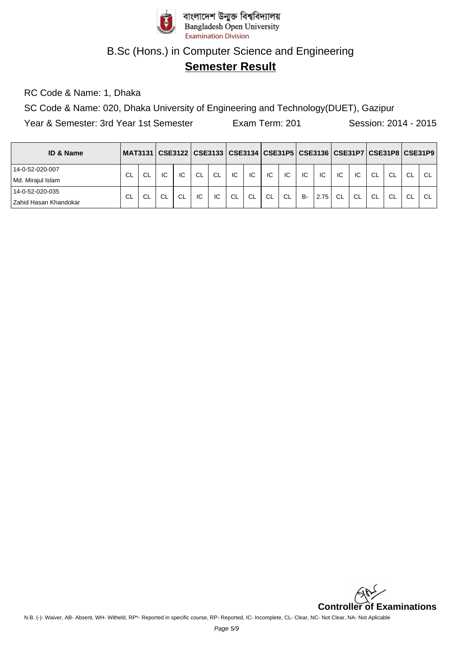

## **Semester Result**

RC Code & Name: 1, Dhaka

SC Code & Name: 020, Dhaka University of Engineering and Technology(DUET), Gazipur

Year & Semester: 3rd Year 1st Semester Exam Term: 201 Session: 2014 - 2015

| <b>ID &amp; Name</b>  |           |    |        |           |               |           |    |           |           |           |           |      |           |    |               | MAT3131   CSE3122   CSE3133   CSE3134   CSE31P5   CSE3136   CSE31P7   CSE31P8   CSE31P9 |               |    |
|-----------------------|-----------|----|--------|-----------|---------------|-----------|----|-----------|-----------|-----------|-----------|------|-----------|----|---------------|-----------------------------------------------------------------------------------------|---------------|----|
| 14-0-52-020-007       | <b>CL</b> | CL | IC     | IC        | <sub>CL</sub> | <b>CL</b> | IC | IC        | IC        | IC.       | IC        | IC   | IC        | IC | <b>CL</b>     | <b>CL</b>                                                                               | <sub>CL</sub> | CL |
| Md. Mirajul Islam     |           |    |        |           |               |           |    |           |           |           |           |      |           |    |               |                                                                                         |               |    |
| 14-0-52-020-035       | <b>CL</b> | CL | $\sim$ | <b>CL</b> | IC            | IC        | CL | <b>CL</b> | <b>CL</b> | <b>CL</b> | <b>B-</b> | 2.75 | <b>CL</b> | CL | <sub>CL</sub> | <b>CL</b>                                                                               | <b>CL</b>     | CL |
| Zahid Hasan Khandokar |           |    |        |           |               |           |    |           |           |           |           |      |           |    |               |                                                                                         |               |    |

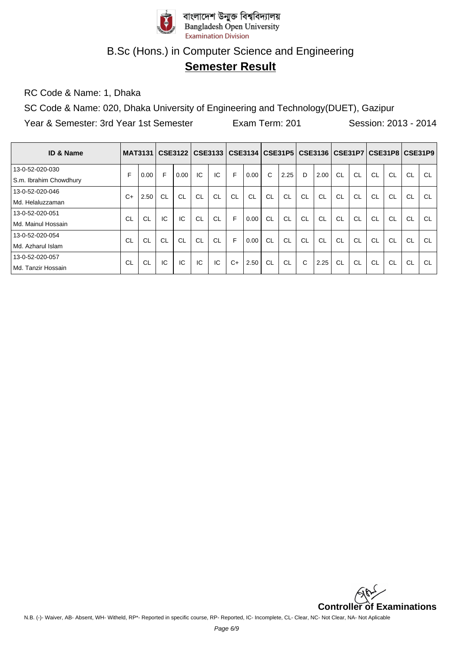

## **Semester Result**

RC Code & Name: 1, Dhaka

SC Code & Name: 020, Dhaka University of Engineering and Technology(DUET), Gazipur

Year & Semester: 3rd Year 1st Semester Exam Term: 201 Session: 2013 - 2014

| ID & Name              |      |           |           | MAT3131   CSE3122   CSE3133   CSE3134   CSE31P5 |           |           |           |      |           |           |           | CSE3136   CSE31P7   CSE31P8   CSE31P9 |           |           |           |           |           |           |
|------------------------|------|-----------|-----------|-------------------------------------------------|-----------|-----------|-----------|------|-----------|-----------|-----------|---------------------------------------|-----------|-----------|-----------|-----------|-----------|-----------|
| 13-0-52-020-030        | F    | 0.00      | F         | 0.00                                            | IC        | IC        | F         | 0.00 | C         | 2.25      | D         | 2.00                                  | <b>CL</b> | <b>CL</b> | <b>CL</b> | CL        | <b>CL</b> | <b>CL</b> |
| S.m. Ibrahim Chowdhury |      |           |           |                                                 |           |           |           |      |           |           |           |                                       |           |           |           |           |           |           |
| 13-0-52-020-046        | $C+$ | 2.50      | <b>CL</b> | <b>CL</b>                                       | <b>CL</b> | <b>CL</b> | <b>CL</b> | CL   | <b>CL</b> | CL        | <b>CL</b> | <b>CL</b>                             | <b>CL</b> | <b>CL</b> | <b>CL</b> | CL        | <b>CL</b> | <b>CL</b> |
| Md. Helaluzzaman       |      |           |           |                                                 |           |           |           |      |           |           |           |                                       |           |           |           |           |           |           |
| 13-0-52-020-051        | CI.  | <b>CL</b> | IC        | IC                                              | <b>CL</b> | <b>CL</b> | F         | 0.00 | <b>CL</b> | <b>CL</b> | <b>CL</b> | <b>CL</b>                             | CL        | CL        | <b>CL</b> | CL        | <b>CL</b> | <b>CL</b> |
| Md. Mainul Hossain     |      |           |           |                                                 |           |           |           |      |           |           |           |                                       |           |           |           |           |           |           |
| 13-0-52-020-054        | CL   | <b>CL</b> | CL        | CL                                              | <b>CL</b> | <b>CL</b> | F         | 0.00 | <b>CL</b> | <b>CL</b> | <b>CL</b> | <b>CL</b>                             | <b>CL</b> | <b>CL</b> | <b>CL</b> | <b>CL</b> | CL        | CL        |
| Md. Azharul Islam      |      |           |           |                                                 |           |           |           |      |           |           |           |                                       |           |           |           |           |           |           |
| 13-0-52-020-057        | CL   | CL        | IC        | IC                                              | IC        | IC        | $C+$      | 2.50 | CL        | <b>CL</b> | C         | 2.25                                  | <b>CL</b> | <b>CL</b> | <b>CL</b> | <b>CL</b> | <b>CL</b> | CL        |
| Md. Tanzir Hossain     |      |           |           |                                                 |           |           |           |      |           |           |           |                                       |           |           |           |           |           |           |

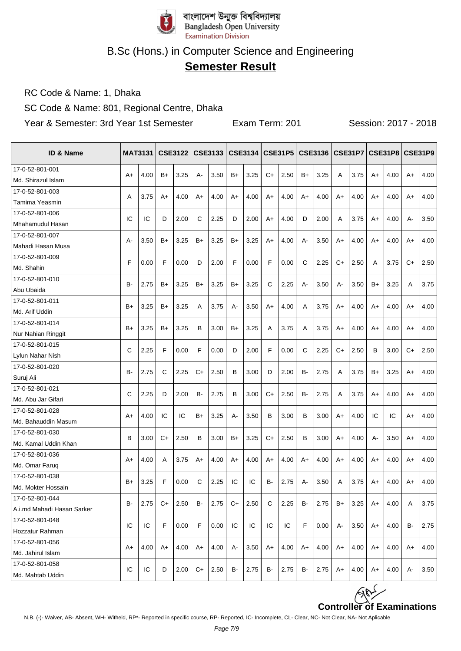

# **Semester Result**

RC Code & Name: 1, Dhaka

SC Code & Name: 801, Regional Centre, Dhaka

Year & Semester: 3rd Year 1st Semester Exam Term: 201 Session: 2017 - 2018

| ID & Name                              |           | <b>MAT3131</b> |      | <b>CSE3122</b> |    | CSE3133 |       |      |      | CSE3134   CSE31P5   CSE3136   CSE31P7 |      |      |      |      |      | CSE31P8   CSE31P9 |      |      |
|----------------------------------------|-----------|----------------|------|----------------|----|---------|-------|------|------|---------------------------------------|------|------|------|------|------|-------------------|------|------|
| 17-0-52-801-001                        | $A+$      | 4.00           | $B+$ | 3.25           | A- | 3.50    | $B+$  | 3.25 | $C+$ | 2.50                                  | $B+$ | 3.25 | A    | 3.75 | A+   | 4.00              | $A+$ | 4.00 |
| Md. Shirazul Islam                     |           |                |      |                |    |         |       |      |      |                                       |      |      |      |      |      |                   |      |      |
| 17-0-52-801-003                        | A         | 3.75           | A+   | 4.00           | A+ | 4.00    | A+    | 4.00 | $A+$ | 4.00                                  | $A+$ | 4.00 | $A+$ | 4.00 | $A+$ | 4.00              | A+   | 4.00 |
| Tamima Yeasmin                         |           |                |      |                |    |         |       |      |      |                                       |      |      |      |      |      |                   |      |      |
| 17-0-52-801-006                        | IC        | IC             | D    | 2.00           | С  | 2.25    | D     | 2.00 | A+   | 4.00                                  | D    | 2.00 | Α    | 3.75 | A+   | 4.00              | А-   | 3.50 |
| Mhahamudul Hasan                       |           |                |      |                |    |         |       |      |      |                                       |      |      |      |      |      |                   |      |      |
| 17-0-52-801-007                        | А-        | 3.50           | B+   | 3.25           | B+ | 3.25    | B+    | 3.25 | A+   | 4.00                                  | A-   | 3.50 | A+   | 4.00 | A+   | 4.00              | A+   | 4.00 |
| Mahadi Hasan Musa                      |           |                |      |                |    |         |       |      |      |                                       |      |      |      |      |      |                   |      |      |
| 17-0-52-801-009                        | F         | 0.00           | F    | 0.00           | D  | 2.00    | F     | 0.00 | F    | 0.00                                  | C    | 2.25 | C+   | 2.50 | Α    | 3.75              | $C+$ | 2.50 |
| Md. Shahin                             |           |                |      |                |    |         |       |      |      |                                       |      |      |      |      |      |                   |      |      |
| 17-0-52-801-010                        | B-        | 2.75           | B+   | 3.25           | B+ | 3.25    | B+    | 3.25 | C    | 2.25                                  | А-   | 3.50 | А-   | 3.50 | B+   | 3.25              | Α    | 3.75 |
| Abu Ubaida                             |           |                |      |                |    |         |       |      |      |                                       |      |      |      |      |      |                   |      |      |
| 17-0-52-801-011                        | $B+$      | 3.25           | B+   | 3.25           | A  | 3.75    | $A -$ | 3.50 | A+   | 4.00                                  | A    | 3.75 | $A+$ | 4.00 | A+   | 4.00              | A+   | 4.00 |
| Md. Arif Uddin                         |           |                |      |                |    |         |       |      |      |                                       |      |      |      |      |      |                   |      |      |
| 17-0-52-801-014                        | $B+$      | 3.25           | B+   | 3.25           | в  | 3.00    | B+    | 3.25 | A    | 3.75                                  | A    | 3.75 | $A+$ | 4.00 | A+   | 4.00              | A+   | 4.00 |
| Nur Nahian Ringgit                     |           |                |      |                |    |         |       |      |      |                                       |      |      |      |      |      |                   |      |      |
| 17-0-52-801-015                        | C         | 2.25           | F    | 0.00           | F  | 0.00    | D     | 2.00 | F    | 0.00                                  | C    | 2.25 | C+   | 2.50 | В    | 3.00              | $C+$ | 2.50 |
| Lylun Nahar Nish                       |           |                |      |                |    |         |       |      |      |                                       |      |      |      |      |      |                   |      |      |
| 17-0-52-801-020                        | <b>B-</b> | 2.75           | С    | 2.25           | C+ | 2.50    | B     | 3.00 | D    | 2.00                                  | B-   | 2.75 | A    | 3.75 | B+   | 3.25              | A+   | 4.00 |
| Suruj Ali                              |           |                |      |                |    |         |       |      |      |                                       |      |      |      |      |      |                   |      |      |
| 17-0-52-801-021                        | C         | 2.25           | D    | 2.00           | B- | 2.75    | B     | 3.00 | C+   | 2.50                                  | B-   | 2.75 | Α    | 3.75 | A+   | 4.00              | A+   | 4.00 |
| Md. Abu Jar Gifari                     |           |                |      |                |    |         |       |      |      |                                       |      |      |      |      |      |                   |      |      |
| 17-0-52-801-028                        | $A+$      | 4.00           | IС   | IC             | B+ | 3.25    | A-    | 3.50 | B    | 3.00                                  | B    | 3.00 | $A+$ | 4.00 | IС   | IС                | $A+$ | 4.00 |
| Md. Bahauddin Masum<br>17-0-52-801-030 |           |                |      |                |    |         |       |      |      |                                       |      |      |      |      |      |                   |      |      |
| Md. Kamal Uddin Khan                   | B         | 3.00           | C+   | 2.50           | в  | 3.00    | B+    | 3.25 | C+   | 2.50                                  | B    | 3.00 | A+   | 4.00 | А-   | 3.50              | A+   | 4.00 |
| 17-0-52-801-036                        |           |                |      |                |    |         |       |      |      |                                       |      |      |      |      |      |                   |      |      |
| Md. Omar Faruq                         | A+        | 4.00           | Α    | 3.75           | A+ | 4.00    | A+    | 4.00 | A+   | 4.00                                  | $A+$ | 4.00 | A+   | 4.00 | A+   | 4.00              | A+   | 4.00 |
| 17-0-52-801-038                        |           |                |      |                |    |         |       |      |      |                                       |      |      |      |      |      |                   |      |      |
| Md. Mokter Hossain                     | $B+$      | 3.25           | F    | 0.00           | C  | 2.25    | IC    | IC   | B-   | 2.75                                  | A-   | 3.50 | A    | 3.75 | A+   | 4.00              | $A+$ | 4.00 |
| 17-0-52-801-044                        |           |                |      |                |    |         |       |      |      |                                       |      |      |      |      |      |                   |      |      |
| A.i.md Mahadi Hasan Sarker             | в-        | 2.75           | C+   | 2.50           | B- | 2.75    | C+    | 2.50 | C    | 2.25                                  | В-   | 2.75 | B+   | 3.25 | A+   | 4.00              | Α    | 3.75 |
| 17-0-52-801-048                        |           |                |      |                |    |         |       |      |      |                                       |      |      |      |      |      |                   |      |      |
| Hozzatur Rahman                        | IC        | IC             | F    | 0.00           | F  | 0.00    | IC    | IC   | ΙC   | IC                                    | F    | 0.00 | А-   | 3.50 | A+   | 4.00              | B-   | 2.75 |
| 17-0-52-801-056                        |           |                |      |                |    |         |       |      |      |                                       |      |      |      |      |      |                   |      |      |
| Md. Jahirul Islam                      | A+        | 4.00           | A+   | 4.00           | A+ | 4.00    | А-    | 3.50 | A+   | 4.00                                  | A+   | 4.00 | A+   | 4.00 | A+   | 4.00              | A+   | 4.00 |
| 17-0-52-801-058                        |           |                |      |                |    |         |       |      |      |                                       |      |      |      |      |      |                   |      |      |
|                                        | IC        | IC             | D    | 2.00           | C+ | 2.50    | B-    | 2.75 | B-   | 2.75                                  | B-   | 2.75 | A+   | 4.00 | A+   | 4.00              | А-   | 3.50 |

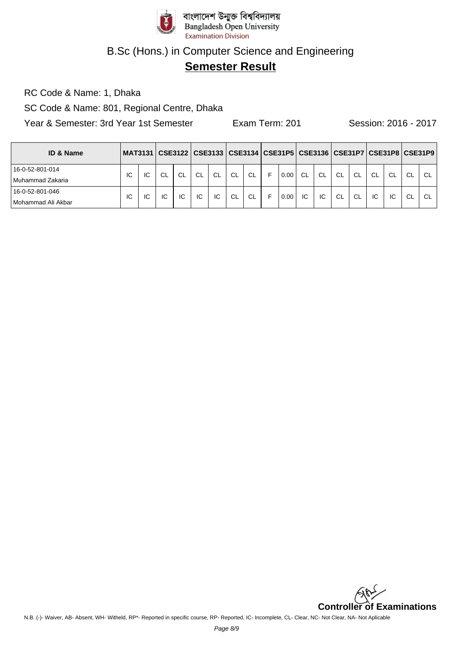

## **Semester Result**

RC Code & Name: 1, Dhaka

SC Code & Name: 801, Regional Centre, Dhaka

Year & Semester: 3rd Year 1st Semester Exam Term: 201 Session: 2016 - 2017

| <b>ID &amp; Name</b> | MAT3131   CSE3122   CSE3133   CSE3134   CSE31P5   CSE3136   CSE31P7   CSE31P8   CSE31P9 |    |           |           |     |           |           |           |   |      |     |           |           |           |           |               |           |           |
|----------------------|-----------------------------------------------------------------------------------------|----|-----------|-----------|-----|-----------|-----------|-----------|---|------|-----|-----------|-----------|-----------|-----------|---------------|-----------|-----------|
| 16-0-52-801-014      | ТC                                                                                      | ΙC | <b>CL</b> | <b>CL</b> | CL. | <b>CL</b> | <b>CL</b> | <b>CL</b> | F | 0.00 | CL. | <b>CL</b> | <b>CL</b> | <b>CL</b> | <b>CL</b> | <sub>CL</sub> | <b>CL</b> | <b>CL</b> |
| l Muhammad Zakaria   |                                                                                         |    |           |           |     |           |           |           |   |      |     |           |           |           |           |               |           |           |
| 16-0-52-801-046      | IC                                                                                      | IC | IC        | IC        | IC  | IC        | CL        | CL        | E | 0.00 | IC  | IC        | <b>CL</b> | <b>CL</b> | IC        | IC            | <b>CL</b> | CL        |
| l Mohammad Ali Akbar |                                                                                         |    |           |           |     |           |           |           |   |      |     |           |           |           |           |               |           |           |